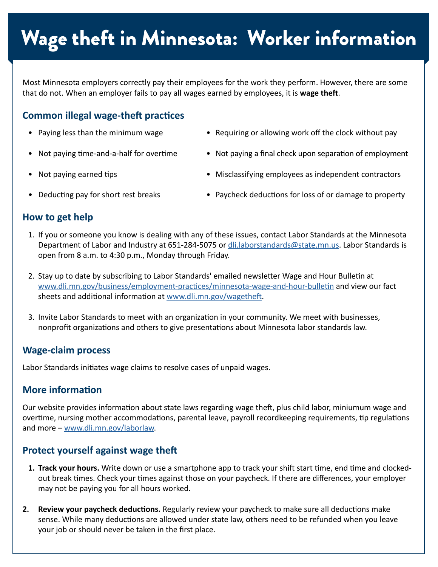# Wage theft in Minnesota: Worker information

Most Minnesota employers correctly pay their employees for the work they perform. However, there are some that do not. When an employer fails to pay all wages earned by employees, it is **wage theft**.

## **Common illegal wage-theft practices**

- 
- 
- Paying less than the minimum wage **•** Requiring or allowing work off the clock without pay
- Not paying time-and-a-half for overtime Not paying a final check upon separation of employment
	-
- Not paying earned tips **•** Misclassifying employees as independent contractors
	-
	- Deducting pay for short rest breaks Paycheck deductions for loss of or damage to property

### **How to get help**

- Department of Labor and Industry at 651-284-5075 or [dli.laborstandards@state.mn.us](mailto:dli.laborstandards%40state.mn.us?subject=). Labor Standards is open from 8 a.m. to 4:30 p.m., Monday through Friday. 1. If you or someone you know is dealing with any of these issues, contact Labor Standards at the Minnesota
- 2. Stay up to date by subscribing to Labor Standards' emailed newsletter Wage and Hour Bulletin at sheets and additional information at [www.dli.mn.gov/wagetheft](http://www.dli.mn.gov/wagetheft). [www.dli.mn.gov/business/employment-practices/minnesota-wage-and-hour-bulletin](http://www.dli.mn.gov/business/employment-practices/minnesota-wage-and-hour-bulletin) and view our fact
- 3. Invite Labor Standards to meet with an organization in your community. We meet with businesses, nonprofit organizations and others to give presentations about Minnesota labor standards law.

#### **Wage-claim process**

 Labor Standards initiates wage claims to resolve cases of unpaid wages.

## **More information**

 Our website provides information about state laws regarding wage theft, plus child labor, miniumum wage and overtime, nursing mother accommodations, parental leave, payroll recordkeeping requirements, tip regulations and more – [www.dli.mn.gov/laborlaw](http://www.dli.mn.gov/laborlaw).

## **Protect yourself against wage theft**

- **1. Track your hours.** Write down or use a smartphone app to track your shift start time, end time and clocked- out break times. Check your times against those on your paycheck. If there are differences, your employer may not be paying you for all hours worked.
- **2. Review your paycheck deductions.** Regularly review your paycheck to make sure all deductions make sense. While many deductions are allowed under state law, others need to be refunded when you leave your job or should never be taken in the first place.